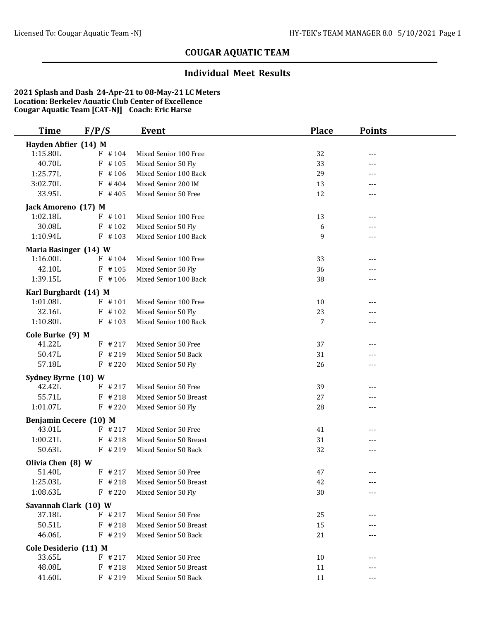#### **Individual Meet Results**

| Hayden Abfier (14) M<br>1:15.80L<br>$F$ #104<br>32<br>Mixed Senior 100 Free<br>---<br>40.70L<br>#105<br>F<br>Mixed Senior 50 Fly<br>33<br>---<br>1:25.77L<br>$F$ #106<br>29<br>Mixed Senior 100 Back<br>---<br>3:02.70L<br>Mixed Senior 200 IM<br>$F$ #404<br>13<br>---<br>33.95L<br>12<br>$F$ #405<br>Mixed Senior 50 Free<br>---<br>Jack Amoreno (17) M<br>1:02.18L<br>$F$ #101<br>13<br>Mixed Senior 100 Free<br>---<br>30.08L<br>$F$ #102<br>Mixed Senior 50 Fly<br>6<br>---<br>1:10.94L<br>$F$ #103<br>Mixed Senior 100 Back<br>9<br>---<br>Maria Basinger (14) W<br>1:16.00L<br>$F$ #104<br>Mixed Senior 100 Free<br>33<br>---<br>42.10L<br>Mixed Senior 50 Fly<br>$F$ #105<br>36<br>---<br>Mixed Senior 100 Back<br>1:39.15L<br>$F$ #106<br>38<br>---<br>Karl Burghardt (14) M<br>1:01.08L<br>$F$ #101<br>Mixed Senior 100 Free<br>10<br>---<br>32.16L<br>$F$ #102<br>Mixed Senior 50 Fly<br>23<br>---<br>1:10.80L<br>Mixed Senior 100 Back<br>$F$ #103<br>7<br>$---$<br>Cole Burke (9) M<br>41.22L<br>$F$ # 217<br>Mixed Senior 50 Free<br>37<br>---<br>50.47L<br>$F$ # 219<br>Mixed Senior 50 Back<br>31<br>---<br>57.18L<br>$F$ # 220<br>Mixed Senior 50 Fly<br>26<br>---<br>Sydney Byrne (10) W<br>42.42L<br>$F$ # 217<br>Mixed Senior 50 Free<br>39<br>55.71L<br>$F$ # 218<br>Mixed Senior 50 Breast<br>27<br>$---$<br>1:01.07L<br>$F$ # 220<br>Mixed Senior 50 Fly<br>28<br>---<br>Benjamin Cecere (10) M<br>43.01L<br>$F$ # 217<br>Mixed Senior 50 Free<br>41<br>---<br>1:00.21L<br>$F$ # 218<br>31<br>Mixed Senior 50 Breast<br>---<br>50.63L<br>$F$ # 219<br>Mixed Senior 50 Back<br>32<br>---<br>Olivia Chen (8) W<br>51.40L<br>$F$ # 217<br>Mixed Senior 50 Free<br>47<br>$---$<br>1:25.03L<br>Mixed Senior 50 Breast<br>$F$ # 218<br>42<br>1:08.63L<br>$F$ # 220<br>30<br>Mixed Senior 50 Fly<br>---<br>Savannah Clark (10) W<br>37.18L<br>$F$ # 217<br>25<br>Mixed Senior 50 Free<br>50.51L<br>$F$ # 218<br>Mixed Senior 50 Breast<br>15<br>---<br>46.06L<br>$F$ # 219<br>Mixed Senior 50 Back<br>21<br>---<br>Cole Desiderio (11) M<br>33.65L<br>Mixed Senior 50 Free<br>$F$ # 217<br>10<br>48.08L<br>$F$ # 218<br>11<br>Mixed Senior 50 Breast<br>---<br>--- | <b>Time</b> | F/P/S     | Event                | <b>Place</b> | <b>Points</b> |  |
|------------------------------------------------------------------------------------------------------------------------------------------------------------------------------------------------------------------------------------------------------------------------------------------------------------------------------------------------------------------------------------------------------------------------------------------------------------------------------------------------------------------------------------------------------------------------------------------------------------------------------------------------------------------------------------------------------------------------------------------------------------------------------------------------------------------------------------------------------------------------------------------------------------------------------------------------------------------------------------------------------------------------------------------------------------------------------------------------------------------------------------------------------------------------------------------------------------------------------------------------------------------------------------------------------------------------------------------------------------------------------------------------------------------------------------------------------------------------------------------------------------------------------------------------------------------------------------------------------------------------------------------------------------------------------------------------------------------------------------------------------------------------------------------------------------------------------------------------------------------------------------------------------------------------------------------------------------------------------------------------------------------------------------------------------------------------------------------------------------------------------------------------------------------------------------|-------------|-----------|----------------------|--------------|---------------|--|
|                                                                                                                                                                                                                                                                                                                                                                                                                                                                                                                                                                                                                                                                                                                                                                                                                                                                                                                                                                                                                                                                                                                                                                                                                                                                                                                                                                                                                                                                                                                                                                                                                                                                                                                                                                                                                                                                                                                                                                                                                                                                                                                                                                                    |             |           |                      |              |               |  |
|                                                                                                                                                                                                                                                                                                                                                                                                                                                                                                                                                                                                                                                                                                                                                                                                                                                                                                                                                                                                                                                                                                                                                                                                                                                                                                                                                                                                                                                                                                                                                                                                                                                                                                                                                                                                                                                                                                                                                                                                                                                                                                                                                                                    |             |           |                      |              |               |  |
|                                                                                                                                                                                                                                                                                                                                                                                                                                                                                                                                                                                                                                                                                                                                                                                                                                                                                                                                                                                                                                                                                                                                                                                                                                                                                                                                                                                                                                                                                                                                                                                                                                                                                                                                                                                                                                                                                                                                                                                                                                                                                                                                                                                    |             |           |                      |              |               |  |
|                                                                                                                                                                                                                                                                                                                                                                                                                                                                                                                                                                                                                                                                                                                                                                                                                                                                                                                                                                                                                                                                                                                                                                                                                                                                                                                                                                                                                                                                                                                                                                                                                                                                                                                                                                                                                                                                                                                                                                                                                                                                                                                                                                                    |             |           |                      |              |               |  |
|                                                                                                                                                                                                                                                                                                                                                                                                                                                                                                                                                                                                                                                                                                                                                                                                                                                                                                                                                                                                                                                                                                                                                                                                                                                                                                                                                                                                                                                                                                                                                                                                                                                                                                                                                                                                                                                                                                                                                                                                                                                                                                                                                                                    |             |           |                      |              |               |  |
|                                                                                                                                                                                                                                                                                                                                                                                                                                                                                                                                                                                                                                                                                                                                                                                                                                                                                                                                                                                                                                                                                                                                                                                                                                                                                                                                                                                                                                                                                                                                                                                                                                                                                                                                                                                                                                                                                                                                                                                                                                                                                                                                                                                    |             |           |                      |              |               |  |
|                                                                                                                                                                                                                                                                                                                                                                                                                                                                                                                                                                                                                                                                                                                                                                                                                                                                                                                                                                                                                                                                                                                                                                                                                                                                                                                                                                                                                                                                                                                                                                                                                                                                                                                                                                                                                                                                                                                                                                                                                                                                                                                                                                                    |             |           |                      |              |               |  |
|                                                                                                                                                                                                                                                                                                                                                                                                                                                                                                                                                                                                                                                                                                                                                                                                                                                                                                                                                                                                                                                                                                                                                                                                                                                                                                                                                                                                                                                                                                                                                                                                                                                                                                                                                                                                                                                                                                                                                                                                                                                                                                                                                                                    |             |           |                      |              |               |  |
|                                                                                                                                                                                                                                                                                                                                                                                                                                                                                                                                                                                                                                                                                                                                                                                                                                                                                                                                                                                                                                                                                                                                                                                                                                                                                                                                                                                                                                                                                                                                                                                                                                                                                                                                                                                                                                                                                                                                                                                                                                                                                                                                                                                    |             |           |                      |              |               |  |
|                                                                                                                                                                                                                                                                                                                                                                                                                                                                                                                                                                                                                                                                                                                                                                                                                                                                                                                                                                                                                                                                                                                                                                                                                                                                                                                                                                                                                                                                                                                                                                                                                                                                                                                                                                                                                                                                                                                                                                                                                                                                                                                                                                                    |             |           |                      |              |               |  |
|                                                                                                                                                                                                                                                                                                                                                                                                                                                                                                                                                                                                                                                                                                                                                                                                                                                                                                                                                                                                                                                                                                                                                                                                                                                                                                                                                                                                                                                                                                                                                                                                                                                                                                                                                                                                                                                                                                                                                                                                                                                                                                                                                                                    |             |           |                      |              |               |  |
|                                                                                                                                                                                                                                                                                                                                                                                                                                                                                                                                                                                                                                                                                                                                                                                                                                                                                                                                                                                                                                                                                                                                                                                                                                                                                                                                                                                                                                                                                                                                                                                                                                                                                                                                                                                                                                                                                                                                                                                                                                                                                                                                                                                    |             |           |                      |              |               |  |
|                                                                                                                                                                                                                                                                                                                                                                                                                                                                                                                                                                                                                                                                                                                                                                                                                                                                                                                                                                                                                                                                                                                                                                                                                                                                                                                                                                                                                                                                                                                                                                                                                                                                                                                                                                                                                                                                                                                                                                                                                                                                                                                                                                                    |             |           |                      |              |               |  |
|                                                                                                                                                                                                                                                                                                                                                                                                                                                                                                                                                                                                                                                                                                                                                                                                                                                                                                                                                                                                                                                                                                                                                                                                                                                                                                                                                                                                                                                                                                                                                                                                                                                                                                                                                                                                                                                                                                                                                                                                                                                                                                                                                                                    |             |           |                      |              |               |  |
|                                                                                                                                                                                                                                                                                                                                                                                                                                                                                                                                                                                                                                                                                                                                                                                                                                                                                                                                                                                                                                                                                                                                                                                                                                                                                                                                                                                                                                                                                                                                                                                                                                                                                                                                                                                                                                                                                                                                                                                                                                                                                                                                                                                    |             |           |                      |              |               |  |
|                                                                                                                                                                                                                                                                                                                                                                                                                                                                                                                                                                                                                                                                                                                                                                                                                                                                                                                                                                                                                                                                                                                                                                                                                                                                                                                                                                                                                                                                                                                                                                                                                                                                                                                                                                                                                                                                                                                                                                                                                                                                                                                                                                                    |             |           |                      |              |               |  |
|                                                                                                                                                                                                                                                                                                                                                                                                                                                                                                                                                                                                                                                                                                                                                                                                                                                                                                                                                                                                                                                                                                                                                                                                                                                                                                                                                                                                                                                                                                                                                                                                                                                                                                                                                                                                                                                                                                                                                                                                                                                                                                                                                                                    |             |           |                      |              |               |  |
|                                                                                                                                                                                                                                                                                                                                                                                                                                                                                                                                                                                                                                                                                                                                                                                                                                                                                                                                                                                                                                                                                                                                                                                                                                                                                                                                                                                                                                                                                                                                                                                                                                                                                                                                                                                                                                                                                                                                                                                                                                                                                                                                                                                    |             |           |                      |              |               |  |
|                                                                                                                                                                                                                                                                                                                                                                                                                                                                                                                                                                                                                                                                                                                                                                                                                                                                                                                                                                                                                                                                                                                                                                                                                                                                                                                                                                                                                                                                                                                                                                                                                                                                                                                                                                                                                                                                                                                                                                                                                                                                                                                                                                                    |             |           |                      |              |               |  |
|                                                                                                                                                                                                                                                                                                                                                                                                                                                                                                                                                                                                                                                                                                                                                                                                                                                                                                                                                                                                                                                                                                                                                                                                                                                                                                                                                                                                                                                                                                                                                                                                                                                                                                                                                                                                                                                                                                                                                                                                                                                                                                                                                                                    |             |           |                      |              |               |  |
|                                                                                                                                                                                                                                                                                                                                                                                                                                                                                                                                                                                                                                                                                                                                                                                                                                                                                                                                                                                                                                                                                                                                                                                                                                                                                                                                                                                                                                                                                                                                                                                                                                                                                                                                                                                                                                                                                                                                                                                                                                                                                                                                                                                    |             |           |                      |              |               |  |
|                                                                                                                                                                                                                                                                                                                                                                                                                                                                                                                                                                                                                                                                                                                                                                                                                                                                                                                                                                                                                                                                                                                                                                                                                                                                                                                                                                                                                                                                                                                                                                                                                                                                                                                                                                                                                                                                                                                                                                                                                                                                                                                                                                                    |             |           |                      |              |               |  |
|                                                                                                                                                                                                                                                                                                                                                                                                                                                                                                                                                                                                                                                                                                                                                                                                                                                                                                                                                                                                                                                                                                                                                                                                                                                                                                                                                                                                                                                                                                                                                                                                                                                                                                                                                                                                                                                                                                                                                                                                                                                                                                                                                                                    |             |           |                      |              |               |  |
|                                                                                                                                                                                                                                                                                                                                                                                                                                                                                                                                                                                                                                                                                                                                                                                                                                                                                                                                                                                                                                                                                                                                                                                                                                                                                                                                                                                                                                                                                                                                                                                                                                                                                                                                                                                                                                                                                                                                                                                                                                                                                                                                                                                    |             |           |                      |              |               |  |
|                                                                                                                                                                                                                                                                                                                                                                                                                                                                                                                                                                                                                                                                                                                                                                                                                                                                                                                                                                                                                                                                                                                                                                                                                                                                                                                                                                                                                                                                                                                                                                                                                                                                                                                                                                                                                                                                                                                                                                                                                                                                                                                                                                                    |             |           |                      |              |               |  |
|                                                                                                                                                                                                                                                                                                                                                                                                                                                                                                                                                                                                                                                                                                                                                                                                                                                                                                                                                                                                                                                                                                                                                                                                                                                                                                                                                                                                                                                                                                                                                                                                                                                                                                                                                                                                                                                                                                                                                                                                                                                                                                                                                                                    |             |           |                      |              |               |  |
|                                                                                                                                                                                                                                                                                                                                                                                                                                                                                                                                                                                                                                                                                                                                                                                                                                                                                                                                                                                                                                                                                                                                                                                                                                                                                                                                                                                                                                                                                                                                                                                                                                                                                                                                                                                                                                                                                                                                                                                                                                                                                                                                                                                    |             |           |                      |              |               |  |
|                                                                                                                                                                                                                                                                                                                                                                                                                                                                                                                                                                                                                                                                                                                                                                                                                                                                                                                                                                                                                                                                                                                                                                                                                                                                                                                                                                                                                                                                                                                                                                                                                                                                                                                                                                                                                                                                                                                                                                                                                                                                                                                                                                                    |             |           |                      |              |               |  |
|                                                                                                                                                                                                                                                                                                                                                                                                                                                                                                                                                                                                                                                                                                                                                                                                                                                                                                                                                                                                                                                                                                                                                                                                                                                                                                                                                                                                                                                                                                                                                                                                                                                                                                                                                                                                                                                                                                                                                                                                                                                                                                                                                                                    |             |           |                      |              |               |  |
|                                                                                                                                                                                                                                                                                                                                                                                                                                                                                                                                                                                                                                                                                                                                                                                                                                                                                                                                                                                                                                                                                                                                                                                                                                                                                                                                                                                                                                                                                                                                                                                                                                                                                                                                                                                                                                                                                                                                                                                                                                                                                                                                                                                    |             |           |                      |              |               |  |
|                                                                                                                                                                                                                                                                                                                                                                                                                                                                                                                                                                                                                                                                                                                                                                                                                                                                                                                                                                                                                                                                                                                                                                                                                                                                                                                                                                                                                                                                                                                                                                                                                                                                                                                                                                                                                                                                                                                                                                                                                                                                                                                                                                                    |             |           |                      |              |               |  |
|                                                                                                                                                                                                                                                                                                                                                                                                                                                                                                                                                                                                                                                                                                                                                                                                                                                                                                                                                                                                                                                                                                                                                                                                                                                                                                                                                                                                                                                                                                                                                                                                                                                                                                                                                                                                                                                                                                                                                                                                                                                                                                                                                                                    |             |           |                      |              |               |  |
|                                                                                                                                                                                                                                                                                                                                                                                                                                                                                                                                                                                                                                                                                                                                                                                                                                                                                                                                                                                                                                                                                                                                                                                                                                                                                                                                                                                                                                                                                                                                                                                                                                                                                                                                                                                                                                                                                                                                                                                                                                                                                                                                                                                    |             |           |                      |              |               |  |
|                                                                                                                                                                                                                                                                                                                                                                                                                                                                                                                                                                                                                                                                                                                                                                                                                                                                                                                                                                                                                                                                                                                                                                                                                                                                                                                                                                                                                                                                                                                                                                                                                                                                                                                                                                                                                                                                                                                                                                                                                                                                                                                                                                                    |             |           |                      |              |               |  |
|                                                                                                                                                                                                                                                                                                                                                                                                                                                                                                                                                                                                                                                                                                                                                                                                                                                                                                                                                                                                                                                                                                                                                                                                                                                                                                                                                                                                                                                                                                                                                                                                                                                                                                                                                                                                                                                                                                                                                                                                                                                                                                                                                                                    |             |           |                      |              |               |  |
|                                                                                                                                                                                                                                                                                                                                                                                                                                                                                                                                                                                                                                                                                                                                                                                                                                                                                                                                                                                                                                                                                                                                                                                                                                                                                                                                                                                                                                                                                                                                                                                                                                                                                                                                                                                                                                                                                                                                                                                                                                                                                                                                                                                    |             |           |                      |              |               |  |
|                                                                                                                                                                                                                                                                                                                                                                                                                                                                                                                                                                                                                                                                                                                                                                                                                                                                                                                                                                                                                                                                                                                                                                                                                                                                                                                                                                                                                                                                                                                                                                                                                                                                                                                                                                                                                                                                                                                                                                                                                                                                                                                                                                                    |             |           |                      |              |               |  |
|                                                                                                                                                                                                                                                                                                                                                                                                                                                                                                                                                                                                                                                                                                                                                                                                                                                                                                                                                                                                                                                                                                                                                                                                                                                                                                                                                                                                                                                                                                                                                                                                                                                                                                                                                                                                                                                                                                                                                                                                                                                                                                                                                                                    |             |           |                      |              |               |  |
|                                                                                                                                                                                                                                                                                                                                                                                                                                                                                                                                                                                                                                                                                                                                                                                                                                                                                                                                                                                                                                                                                                                                                                                                                                                                                                                                                                                                                                                                                                                                                                                                                                                                                                                                                                                                                                                                                                                                                                                                                                                                                                                                                                                    |             |           |                      |              |               |  |
|                                                                                                                                                                                                                                                                                                                                                                                                                                                                                                                                                                                                                                                                                                                                                                                                                                                                                                                                                                                                                                                                                                                                                                                                                                                                                                                                                                                                                                                                                                                                                                                                                                                                                                                                                                                                                                                                                                                                                                                                                                                                                                                                                                                    |             |           |                      |              |               |  |
|                                                                                                                                                                                                                                                                                                                                                                                                                                                                                                                                                                                                                                                                                                                                                                                                                                                                                                                                                                                                                                                                                                                                                                                                                                                                                                                                                                                                                                                                                                                                                                                                                                                                                                                                                                                                                                                                                                                                                                                                                                                                                                                                                                                    |             |           |                      |              |               |  |
|                                                                                                                                                                                                                                                                                                                                                                                                                                                                                                                                                                                                                                                                                                                                                                                                                                                                                                                                                                                                                                                                                                                                                                                                                                                                                                                                                                                                                                                                                                                                                                                                                                                                                                                                                                                                                                                                                                                                                                                                                                                                                                                                                                                    |             |           |                      |              |               |  |
|                                                                                                                                                                                                                                                                                                                                                                                                                                                                                                                                                                                                                                                                                                                                                                                                                                                                                                                                                                                                                                                                                                                                                                                                                                                                                                                                                                                                                                                                                                                                                                                                                                                                                                                                                                                                                                                                                                                                                                                                                                                                                                                                                                                    | 41.60L      | $F$ # 219 | Mixed Senior 50 Back | 11           |               |  |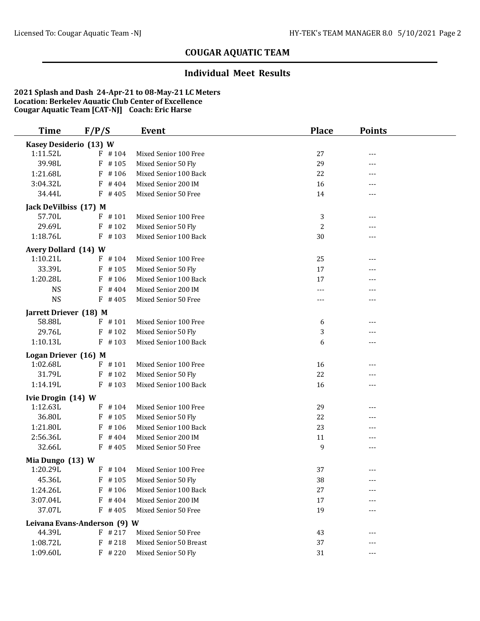#### **Individual Meet Results**

| <b>Time</b>                    | F/P/S                        | Event                                        | <b>Place</b> | <b>Points</b> |  |
|--------------------------------|------------------------------|----------------------------------------------|--------------|---------------|--|
| Kasey Desiderio (13) W         |                              |                                              |              |               |  |
| 1:11.52L                       | $F$ #104                     | Mixed Senior 100 Free                        | 27           | $---$         |  |
| 39.98L                         | #105<br>F                    | Mixed Senior 50 Fly                          | 29           | ---           |  |
| 1:21.68L                       | $F$ #106                     | Mixed Senior 100 Back                        | 22           | ---           |  |
| 3:04.32L                       | $F$ #404                     | Mixed Senior 200 IM                          | 16           | ---           |  |
| 34.44L                         | $F$ #405                     | Mixed Senior 50 Free                         | 14           | ---           |  |
| Jack DeVilbiss (17) M          |                              |                                              |              |               |  |
| 57.70L                         | $F$ #101                     | Mixed Senior 100 Free                        | 3            | ---           |  |
| 29.69L                         | $F$ #102                     | Mixed Senior 50 Fly                          | 2            | ---           |  |
| 1:18.76L                       | $F$ #103                     | Mixed Senior 100 Back                        | 30           | ---           |  |
| Avery Dollard (14) W           |                              |                                              |              |               |  |
| 1:10.21L                       | $F$ #104                     | Mixed Senior 100 Free                        | 25           | ---           |  |
| 33.39L                         | $F$ #105                     | Mixed Senior 50 Fly                          | 17           | ---           |  |
| 1:20.28L                       | #106<br>F                    | Mixed Senior 100 Back                        | 17           | ---           |  |
| <b>NS</b>                      | $F$ #404                     | Mixed Senior 200 IM                          | ---          |               |  |
| <b>NS</b>                      | $F$ #405                     | Mixed Senior 50 Free                         | ---          | $---$         |  |
| Jarrett Driever (18) M         |                              |                                              |              |               |  |
| 58.88L                         | $F$ #101                     | Mixed Senior 100 Free                        | 6            | ---           |  |
| 29.76L                         | $F$ #102                     | Mixed Senior 50 Fly                          | 3            | ---           |  |
| 1:10.13L                       | $F$ #103                     | Mixed Senior 100 Back                        | 6            | ---           |  |
| Logan Driever (16) M           |                              |                                              |              |               |  |
| 1:02.68L                       | $F$ #101                     | Mixed Senior 100 Free                        | 16           | ---           |  |
| 31.79L                         | $F$ #102                     | Mixed Senior 50 Fly                          | 22           | ---           |  |
| 1:14.19L                       | $F$ #103                     | Mixed Senior 100 Back                        | 16           | ---           |  |
|                                |                              |                                              |              |               |  |
| Ivie Drogin (14) W<br>1:12.63L | $F$ #104                     | Mixed Senior 100 Free                        | 29           | ---           |  |
| 36.80L                         | $F$ #105                     | Mixed Senior 50 Fly                          | 22           | $---$         |  |
| 1:21.80L                       | F<br>#106                    | Mixed Senior 100 Back                        | 23           | ---           |  |
| 2:56.36L                       | $F$ #404                     | Mixed Senior 200 IM                          | 11           | ---           |  |
| 32.66L                         | $F$ #405                     | Mixed Senior 50 Free                         | 9            | ---           |  |
|                                |                              |                                              |              |               |  |
| Mia Dungo (13) W<br>1:20.29L   | $F$ #104                     | Mixed Senior 100 Free                        | 37           | $---$         |  |
| 45.36L                         |                              |                                              |              |               |  |
| 1:24.26L                       | $F$ #105<br>$F$ #106         | Mixed Senior 50 Fly<br>Mixed Senior 100 Back | 38<br>27     | ---           |  |
| 3:07.04L                       | $F$ #404                     | Mixed Senior 200 IM                          | 17           |               |  |
| 37.07L                         | $F$ # 405                    | Mixed Senior 50 Free                         | 19           | ---           |  |
|                                |                              |                                              |              |               |  |
|                                | Leivana Evans-Anderson (9) W |                                              |              |               |  |
| 44.39L                         | $F$ # 217                    | Mixed Senior 50 Free                         | 43           | ---           |  |
| 1:08.72L                       | $F$ # 218                    | Mixed Senior 50 Breast                       | 37           | ---           |  |
| 1:09.60L                       | $F$ # 220                    | Mixed Senior 50 Fly                          | 31           | ---           |  |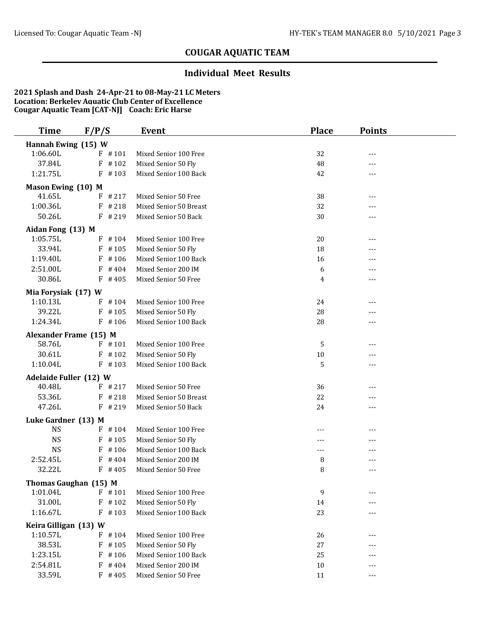#### **Individual Meet Results**

| <b>Time</b>                             | F/P/S                  | Event                                        | <b>Place</b> | <b>Points</b> |  |
|-----------------------------------------|------------------------|----------------------------------------------|--------------|---------------|--|
| Hannah Ewing (15) W                     |                        |                                              |              |               |  |
| 1:06.60L                                | $F$ #101               | Mixed Senior 100 Free                        | 32           | ---           |  |
| 37.84L                                  | $F$ #102               | Mixed Senior 50 Fly                          | 48           | $---$         |  |
| 1:21.75L                                | $F$ #103               | Mixed Senior 100 Back                        | 42           | $---$         |  |
| Mason Ewing (10) M                      |                        |                                              |              |               |  |
| 41.65L                                  | #217<br>F              | Mixed Senior 50 Free                         | 38           | ---           |  |
| 1:00.36L                                | $F$ # 218              | Mixed Senior 50 Breast                       | 32           |               |  |
| 50.26L                                  | $F$ # 219              | Mixed Senior 50 Back                         | 30           | $---$         |  |
| Aidan Fong (13) M                       |                        |                                              |              |               |  |
| 1:05.75L                                | $F$ #104               | Mixed Senior 100 Free                        | 20           | $---$         |  |
| 33.94L                                  | $F$ #105               | Mixed Senior 50 Fly                          | 18           | $---$         |  |
| 1:19.40L                                | $F$ #106               | Mixed Senior 100 Back                        | 16           |               |  |
| 2:51.00L                                | F<br>#404              | Mixed Senior 200 IM                          | 6            | ---           |  |
| 30.86L                                  | $F$ #405               | Mixed Senior 50 Free                         | 4            | ---           |  |
| Mia Forysiak (17) W                     |                        |                                              |              |               |  |
| 1:10.13L                                | $F$ #104               | Mixed Senior 100 Free                        | 24           |               |  |
| 39.22L                                  | $F$ #105               | Mixed Senior 50 Fly                          | 28           | $---$         |  |
| 1:24.34L                                | $F$ #106               | Mixed Senior 100 Back                        | 28           | ---           |  |
|                                         | Alexander Frame (15) M |                                              |              |               |  |
| 58.76L                                  | $F$ #101               | Mixed Senior 100 Free                        | 5            | ---           |  |
| 30.61L                                  | $F$ #102               | Mixed Senior 50 Fly                          | 10           |               |  |
| 1:10.04L                                | $F$ #103               | Mixed Senior 100 Back                        | 5            | ---           |  |
|                                         |                        |                                              |              |               |  |
| <b>Adelaide Fuller (12) W</b><br>40.48L | $F$ # 217              | Mixed Senior 50 Free                         | 36           | ---           |  |
| 53.36L                                  | $F$ # 218              | Mixed Senior 50 Breast                       | 22           | ---           |  |
| 47.26L                                  | $F$ # 219              | Mixed Senior 50 Back                         | 24           | $---$         |  |
|                                         |                        |                                              |              |               |  |
| Luke Gardner (13) M<br><b>NS</b>        | $F$ #104               | Mixed Senior 100 Free                        |              |               |  |
| <b>NS</b>                               | $F$ #105               | Mixed Senior 50 Fly                          | ---          | $---$<br>---  |  |
| <b>NS</b>                               | F<br>#106              | Mixed Senior 100 Back                        | $---$        |               |  |
| 2:52.45L                                | #404<br>F              | Mixed Senior 200 IM                          | 8            |               |  |
| 32.22L                                  | $F$ #405               | Mixed Senior 50 Free                         | 8            | ---           |  |
|                                         |                        |                                              |              |               |  |
| 1:01.04L                                | Thomas Gaughan (15) M  |                                              |              |               |  |
| 31.00L                                  | $F$ #101<br>$F$ #102   | Mixed Senior 100 Free<br>Mixed Senior 50 Fly | 9<br>14      |               |  |
| 1:16.67L                                | $F$ #103               | Mixed Senior 100 Back                        | 23           |               |  |
|                                         |                        |                                              |              |               |  |
| Keira Gilligan (13) W                   |                        |                                              |              |               |  |
| 1:10.57L                                | $F$ #104               | Mixed Senior 100 Free                        | 26           |               |  |
| 38.53L                                  | $F$ #105               | Mixed Senior 50 Fly                          | 27           |               |  |
| 1:23.15L                                | $F$ #106               | Mixed Senior 100 Back                        | 25           | ---           |  |
| 2:54.81L<br>33.59L                      | $F$ #404<br>$F$ #405   | Mixed Senior 200 IM                          | 10           | ---           |  |
|                                         |                        | Mixed Senior 50 Free                         | 11           | $---$         |  |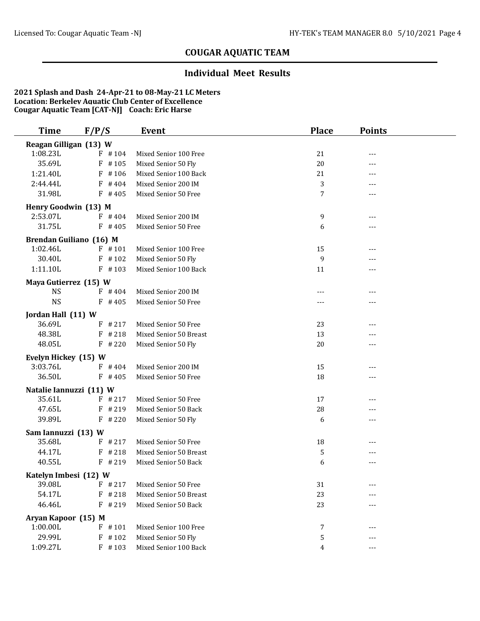#### **Individual Meet Results**

| Time                             | F/P/S     | Event                  | <b>Place</b> | <b>Points</b> |  |
|----------------------------------|-----------|------------------------|--------------|---------------|--|
| Reagan Gilligan (13) W           |           |                        |              |               |  |
| 1:08.23L                         | $F$ #104  | Mixed Senior 100 Free  | 21           | ---           |  |
| 35.69L                           | $F$ #105  | Mixed Senior 50 Fly    | 20           | ---           |  |
| 1:21.40L                         | #106<br>F | Mixed Senior 100 Back  | 21           | ---           |  |
| 2:44.44L                         | $F$ # 404 | Mixed Senior 200 IM    | 3            | ---           |  |
| 31.98L                           | $F$ #405  | Mixed Senior 50 Free   | 7            | ---           |  |
| Henry Goodwin (13) M             |           |                        |              |               |  |
| 2:53.07L                         | $F$ #404  | Mixed Senior 200 IM    | 9            | ---           |  |
| 31.75L                           | $F$ #405  | Mixed Senior 50 Free   | 6            | ---           |  |
| Brendan Guiliano (16) M          |           |                        |              |               |  |
| 1:02.46L                         | $F$ #101  | Mixed Senior 100 Free  | 15           | ---           |  |
| 30.40L                           | $F$ #102  | Mixed Senior 50 Fly    | 9            | ---           |  |
| 1:11.10L                         | $F$ #103  | Mixed Senior 100 Back  | 11           | ---           |  |
| Maya Gutierrez (15) W            |           |                        |              |               |  |
| <b>NS</b>                        | $F$ #404  | Mixed Senior 200 IM    | $---$        | ---           |  |
| <b>NS</b>                        | $F$ #405  | Mixed Senior 50 Free   |              | ---           |  |
|                                  |           |                        |              |               |  |
| Jordan Hall (11) W<br>36.69L     | $F$ # 217 | Mixed Senior 50 Free   | 23           | ---           |  |
| 48.38L                           | $F$ # 218 | Mixed Senior 50 Breast | 13           | ---           |  |
| 48.05L                           | $F$ # 220 | Mixed Senior 50 Fly    | 20           | $---$         |  |
|                                  |           |                        |              |               |  |
| Evelyn Hickey (15) W<br>3:03.76L | $F$ #404  | Mixed Senior 200 IM    | 15           | ---           |  |
| 36.50L                           | $F$ #405  | Mixed Senior 50 Free   | 18           | ---           |  |
|                                  |           |                        |              |               |  |
| Natalie Iannuzzi (11) W          |           |                        |              |               |  |
| 35.61L                           | $F$ # 217 | Mixed Senior 50 Free   | 17           | ---           |  |
| 47.65L                           | $F$ # 219 | Mixed Senior 50 Back   | 28           | ---           |  |
| 39.89L                           | $F$ # 220 | Mixed Senior 50 Fly    | 6            | $---$         |  |
| Sam Iannuzzi (13) W              |           |                        |              |               |  |
| 35.68L                           | $F$ # 217 | Mixed Senior 50 Free   | 18           | ---           |  |
| 44.17L                           | $F$ # 218 | Mixed Senior 50 Breast | 5            |               |  |
| 40.55L                           | $F$ # 219 | Mixed Senior 50 Back   | 6            | $---$         |  |
| Katelyn Imbesi (12) W            |           |                        |              |               |  |
| 39.08L                           | $F$ # 217 | Mixed Senior 50 Free   | 31           |               |  |
| 54.17L                           | $F$ # 218 | Mixed Senior 50 Breast | 23           |               |  |
| 46.46L                           | $F$ # 219 | Mixed Senior 50 Back   | 23           |               |  |
| Aryan Kapoor (15) M              |           |                        |              |               |  |
| 1:00.00L                         | $F$ #101  | Mixed Senior 100 Free  | 7            | ---           |  |
| 29.99L                           | $F$ #102  | Mixed Senior 50 Fly    | 5            | ---           |  |
| 1:09.27L                         | $F$ #103  | Mixed Senior 100 Back  | 4            | ---           |  |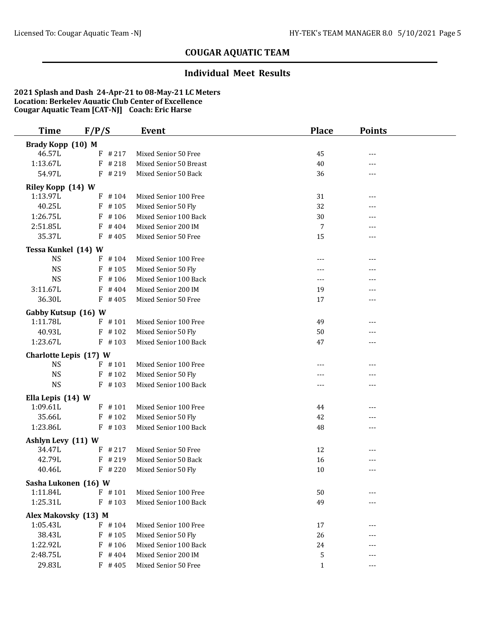#### **Individual Meet Results**

| <b>Time</b>                         | F/P/S     | Event                  | <b>Place</b> | <b>Points</b> |  |
|-------------------------------------|-----------|------------------------|--------------|---------------|--|
| Brady Kopp (10) M                   |           |                        |              |               |  |
| 46.57L                              | $F$ # 217 | Mixed Senior 50 Free   | 45           | ---           |  |
| 1:13.67L                            | $F$ # 218 | Mixed Senior 50 Breast | 40           | $---$         |  |
| 54.97L                              | $F$ # 219 | Mixed Senior 50 Back   | 36           | ---           |  |
| Riley Kopp (14) W                   |           |                        |              |               |  |
| 1:13.97L                            | $F$ #104  | Mixed Senior 100 Free  | 31           | ---           |  |
| 40.25L                              | F<br>#105 | Mixed Senior 50 Fly    | 32           | ---           |  |
| 1:26.75L                            | $F$ #106  | Mixed Senior 100 Back  | 30           |               |  |
| 2:51.85L                            | $F$ #404  | Mixed Senior 200 IM    | 7            | $---$         |  |
| 35.37L                              | $F$ #405  | Mixed Senior 50 Free   | 15           | ---           |  |
| Tessa Kunkel (14) W                 |           |                        |              |               |  |
| <b>NS</b>                           | $F$ #104  | Mixed Senior 100 Free  | $---$        | ---           |  |
| <b>NS</b>                           | $F$ #105  | Mixed Senior 50 Fly    |              | ---           |  |
| <b>NS</b>                           | #106<br>F | Mixed Senior 100 Back  | $---$        | $---$         |  |
| 3:11.67L                            | F<br>#404 | Mixed Senior 200 IM    | 19           | ---           |  |
| 36.30L                              | $F$ #405  | Mixed Senior 50 Free   | 17           | ---           |  |
| Gabby Kutsup (16) W                 |           |                        |              |               |  |
| 1:11.78L                            | $F$ #101  | Mixed Senior 100 Free  | 49           | ---           |  |
| 40.93L                              | $F$ #102  | Mixed Senior 50 Fly    | 50           | ---           |  |
| 1:23.67L                            | $F$ #103  | Mixed Senior 100 Back  | 47           | $---$         |  |
|                                     |           |                        |              |               |  |
| Charlotte Lepis (17) W<br><b>NS</b> | $F$ #101  | Mixed Senior 100 Free  | ---          | ---           |  |
| <b>NS</b>                           | $F$ #102  | Mixed Senior 50 Fly    |              | ---           |  |
| <b>NS</b>                           | $F$ #103  | Mixed Senior 100 Back  | ---          | ---           |  |
|                                     |           |                        |              |               |  |
| Ella Lepis (14) W                   |           |                        |              |               |  |
| 1:09.61L                            | $F$ #101  | Mixed Senior 100 Free  | 44           | ---           |  |
| 35.66L                              | $F$ #102  | Mixed Senior 50 Fly    | 42           | $---$         |  |
| 1:23.86L                            | $F$ #103  | Mixed Senior 100 Back  | 48           | ---           |  |
| Ashlyn Levy (11) W                  |           |                        |              |               |  |
| 34.47L                              | $F$ # 217 | Mixed Senior 50 Free   | 12           | $---$         |  |
| 42.79L                              | #219<br>F | Mixed Senior 50 Back   | 16           |               |  |
| 40.46L                              | $F$ # 220 | Mixed Senior 50 Fly    | 10           | $---$         |  |
| Sasha Lukonen (16) W                |           |                        |              |               |  |
| 1:11.84L                            | $F$ #101  | Mixed Senior 100 Free  | 50           |               |  |
| 1:25.31L                            | $F$ #103  | Mixed Senior 100 Back  | 49           |               |  |
| Alex Makovsky (13) M                |           |                        |              |               |  |
| 1:05.43L                            | $F$ #104  | Mixed Senior 100 Free  | 17           | ---           |  |
| 38.43L                              | $F$ #105  | Mixed Senior 50 Fly    | 26           |               |  |
| 1:22.92L                            | $F$ #106  | Mixed Senior 100 Back  | 24           | $---$         |  |
| 2:48.75L                            | $F$ #404  | Mixed Senior 200 IM    | 5            | ---           |  |
| 29.83L                              | $F$ #405  | Mixed Senior 50 Free   | $\mathbf{1}$ | $---$         |  |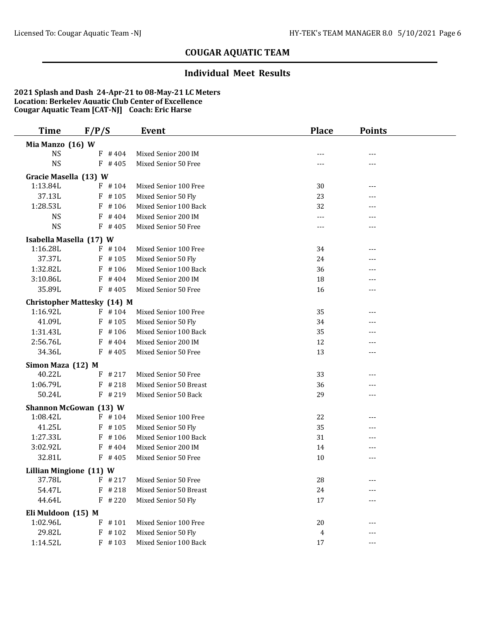#### **Individual Meet Results**

| Time                           | F/P/S                              | Event                  | <b>Place</b> | <b>Points</b> |  |
|--------------------------------|------------------------------------|------------------------|--------------|---------------|--|
| Mia Manzo (16) W               |                                    |                        |              |               |  |
| <b>NS</b>                      | $F$ #404                           | Mixed Senior 200 IM    |              | ---           |  |
| <b>NS</b>                      | $F$ #405                           | Mixed Senior 50 Free   | ---          | ---           |  |
| Gracie Masella (13) W          |                                    |                        |              |               |  |
| 1:13.84L                       | $F$ #104                           | Mixed Senior 100 Free  | 30           | ---           |  |
| 37.13L                         | $F$ #105                           | Mixed Senior 50 Fly    | 23           |               |  |
| 1:28.53L                       | $F$ #106                           | Mixed Senior 100 Back  | 32           | ---           |  |
| <b>NS</b>                      | #404<br>F                          | Mixed Senior 200 IM    | ---          |               |  |
| <b>NS</b>                      | $F$ #405                           | Mixed Senior 50 Free   | ---          |               |  |
| Isabella Masella (17) W        |                                    |                        |              |               |  |
| 1:16.28L                       | $F$ #104                           | Mixed Senior 100 Free  | 34           | ---           |  |
| 37.37L                         | $F$ #105                           | Mixed Senior 50 Fly    | 24           | ---           |  |
| 1:32.82L                       | $F$ #106                           | Mixed Senior 100 Back  | 36           | ---           |  |
| 3:10.86L                       | $F$ #404                           | Mixed Senior 200 IM    | 18           | ---           |  |
| 35.89L                         | $F$ #405                           | Mixed Senior 50 Free   | 16           | ---           |  |
|                                | <b>Christopher Mattesky (14) M</b> |                        |              |               |  |
| 1:16.92L                       | $F$ #104                           | Mixed Senior 100 Free  | 35           |               |  |
| 41.09L                         | $F$ #105                           | Mixed Senior 50 Fly    | 34           |               |  |
| 1:31.43L                       | $F$ #106                           | Mixed Senior 100 Back  | 35           | ---           |  |
| 2:56.76L                       | $F$ #404                           | Mixed Senior 200 IM    | 12           | ---           |  |
| 34.36L                         | $F$ #405                           | Mixed Senior 50 Free   | 13           | ---           |  |
| Simon Maza (12) M              |                                    |                        |              |               |  |
| 40.22L                         | $F$ # 217                          | Mixed Senior 50 Free   | 33           | ---           |  |
| 1:06.79L                       | $F$ # 218                          | Mixed Senior 50 Breast | 36           |               |  |
| 50.24L                         | $F$ # 219                          | Mixed Senior 50 Back   | 29           | ---           |  |
|                                | Shannon McGowan (13) W             |                        |              |               |  |
| 1:08.42L                       | $F$ #104                           | Mixed Senior 100 Free  | 22           | ---           |  |
| 41.25L                         | $F$ #105                           | Mixed Senior 50 Fly    | 35           | ---           |  |
| 1:27.33L                       | F<br>#106                          | Mixed Senior 100 Back  | 31           | ---           |  |
| 3:02.92L                       | $F$ #404                           | Mixed Senior 200 IM    | 14           | ---           |  |
| 32.81L                         | $F$ #405                           | Mixed Senior 50 Free   | 10           | ---           |  |
| <b>Lillian Mingione (11) W</b> |                                    |                        |              |               |  |
| 37.78L                         | $F$ # 217                          | Mixed Senior 50 Free   | ${\bf 28}$   | ---           |  |
| 54.47L                         | $F$ # 218                          | Mixed Senior 50 Breast | 24           |               |  |
| 44.64L                         | $F$ # 220                          | Mixed Senior 50 Fly    | 17           |               |  |
| Eli Muldoon (15) M             |                                    |                        |              |               |  |
| 1:02.96L                       | $F$ #101                           | Mixed Senior 100 Free  | 20           | ---           |  |
| 29.82L                         | $F$ #102                           | Mixed Senior 50 Fly    | 4            |               |  |
| 1:14.52L                       | $F$ #103                           | Mixed Senior 100 Back  | 17           | ---           |  |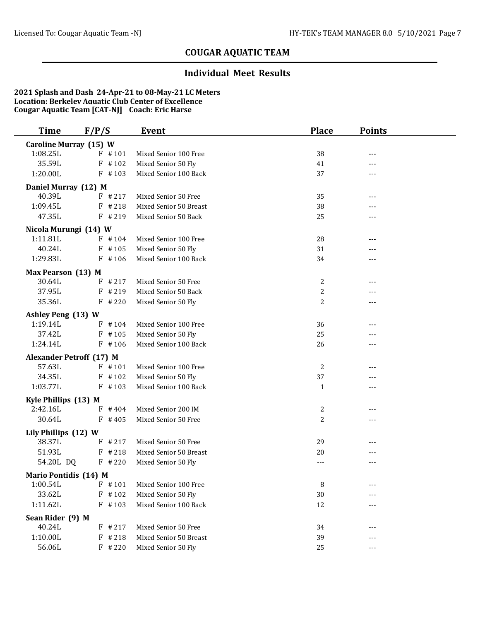### **Individual Meet Results**

| <b>Time</b>                     | F/P/S                | Event                                        | <b>Place</b> | <b>Points</b> |  |
|---------------------------------|----------------------|----------------------------------------------|--------------|---------------|--|
| <b>Caroline Murray (15) W</b>   |                      |                                              |              |               |  |
| 1:08.25L                        | $F$ #101             | Mixed Senior 100 Free                        | 38           | ---           |  |
| 35.59L                          | $F$ #102             | Mixed Senior 50 Fly                          | 41           | ---           |  |
| 1:20.00L                        | $F$ #103             | Mixed Senior 100 Back                        | 37           | ---           |  |
| Daniel Murray (12) M            |                      |                                              |              |               |  |
| 40.39L                          | $F$ # 217            | Mixed Senior 50 Free                         | 35           | ---           |  |
| 1:09.45L                        | $F$ # 218            | Mixed Senior 50 Breast                       | 38           | ---           |  |
| 47.35L                          | $F$ # 219            | Mixed Senior 50 Back                         | 25           | ---           |  |
| Nicola Murungi (14) W           |                      |                                              |              |               |  |
| 1:11.81L                        | $F$ #104             | Mixed Senior 100 Free                        | 28           | ---           |  |
| 40.24L                          | $F$ #105             | Mixed Senior 50 Fly                          | 31           |               |  |
| 1:29.83L                        | $F$ #106             | Mixed Senior 100 Back                        | 34           | $---$         |  |
| Max Pearson (13) M              |                      |                                              |              |               |  |
| 30.64L                          | $F$ # 217            | Mixed Senior 50 Free                         | 2            | $---$         |  |
| 37.95L                          | $F$ # 219            | Mixed Senior 50 Back                         | 2            |               |  |
| 35.36L                          | $F$ # 220            | Mixed Senior 50 Fly                          | 2            | ---           |  |
|                                 |                      |                                              |              |               |  |
| Ashley Peng (13) W              |                      |                                              |              |               |  |
| 1:19.14L                        | $F$ #104             | Mixed Senior 100 Free                        | 36           | ---           |  |
| 37.42L<br>1:24.14L              | $F$ #105<br>$F$ #106 | Mixed Senior 50 Fly<br>Mixed Senior 100 Back | 25           | $---$         |  |
|                                 |                      |                                              | 26           | ---           |  |
| <b>Alexander Petroff (17) M</b> |                      |                                              |              |               |  |
| 57.63L                          | $F$ #101             | Mixed Senior 100 Free                        | 2            | ---           |  |
| 34.35L                          | $F$ #102             | Mixed Senior 50 Fly                          | 37           | ---           |  |
| 1:03.77L                        | $F$ #103             | Mixed Senior 100 Back                        | $\mathbf{1}$ | $---$         |  |
| Kyle Phillips (13) M            |                      |                                              |              |               |  |
| 2:42.16L                        | $F$ #404             | Mixed Senior 200 IM                          | 2            | ---           |  |
| 30.64L                          | $F$ #405             | Mixed Senior 50 Free                         | 2            | ---           |  |
| Lily Phillips (12) W            |                      |                                              |              |               |  |
| 38.37L                          | $F$ # 217            | Mixed Senior 50 Free                         | 29           | ---           |  |
| 51.93L                          | $F$ # 218            | Mixed Senior 50 Breast                       | 20           | ---           |  |
| 54.20L DQ                       | $F$ # 220            | Mixed Senior 50 Fly                          | ---          | ---           |  |
| Mario Pontidis (14) M           |                      |                                              |              |               |  |
| 1:00.54L                        | $F$ #101             | Mixed Senior 100 Free                        | 8            |               |  |
| 33.62L                          | $F$ #102             | Mixed Senior 50 Fly                          | 30           |               |  |
| 1:11.62L                        | $F$ #103             | Mixed Senior 100 Back                        | 12           | ---           |  |
| Sean Rider (9) M                |                      |                                              |              |               |  |
| 40.24L                          | $F$ # 217            | Mixed Senior 50 Free                         | 34           | ---           |  |
| 1:10.00L                        | $F$ # 218            | Mixed Senior 50 Breast                       | 39           | ---           |  |
| 56.06L                          | $F$ # 220            | Mixed Senior 50 Fly                          | 25           | $---$         |  |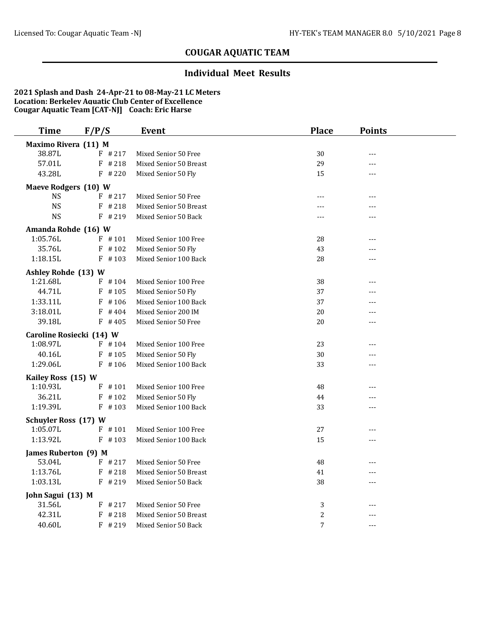### **Individual Meet Results**

| <b>Time</b>                 | F/P/S                    | <b>Event</b>           | <b>Place</b>   | <b>Points</b>  |  |
|-----------------------------|--------------------------|------------------------|----------------|----------------|--|
| Maximo Rivera (11) M        |                          |                        |                |                |  |
| 38.87L                      | $F$ # 217                | Mixed Senior 50 Free   | 30             | $\overline{a}$ |  |
| 57.01L                      | $F$ # 218                | Mixed Senior 50 Breast | 29             | $- - -$        |  |
| 43.28L                      | $F$ # 220                | Mixed Senior 50 Fly    | 15             |                |  |
| <b>Maeve Rodgers (10) W</b> |                          |                        |                |                |  |
| <b>NS</b>                   | $F$ # 217                | Mixed Senior 50 Free   | $---$          | $---$          |  |
| <b>NS</b>                   | $F$ # 218                | Mixed Senior 50 Breast |                | ---            |  |
| <b>NS</b>                   | $F$ # 219                | Mixed Senior 50 Back   | $- - -$        | $---$          |  |
| Amanda Rohde (16) W         |                          |                        |                |                |  |
| 1:05.76L                    | $F$ #101                 | Mixed Senior 100 Free  | 28             | ---            |  |
| 35.76L                      | $F$ #102                 | Mixed Senior 50 Fly    | 43             | $- - -$        |  |
| 1:18.15L                    | $F$ #103                 | Mixed Senior 100 Back  | 28             | $---$          |  |
| Ashley Rohde (13) W         |                          |                        |                |                |  |
| 1:21.68L                    | $F$ #104                 | Mixed Senior 100 Free  | 38             | $---$          |  |
| 44.71L                      | $F$ #105                 | Mixed Senior 50 Fly    | 37             | ---            |  |
| 1:33.11L                    | $F$ #106                 | Mixed Senior 100 Back  | 37             | $---$          |  |
| 3:18.01L                    | $F$ #404                 | Mixed Senior 200 IM    | 20             | ---            |  |
| 39.18L                      | $F$ #405                 | Mixed Senior 50 Free   | 20             | ---            |  |
|                             | Caroline Rosiecki (14) W |                        |                |                |  |
| 1:08.97L                    | $F$ #104                 | Mixed Senior 100 Free  | 23             | ---            |  |
| 40.16L                      | $F$ #105                 | Mixed Senior 50 Fly    | 30             | ---            |  |
| 1:29.06L                    | $F$ #106                 | Mixed Senior 100 Back  | 33             | $---$          |  |
| Kailey Ross (15) W          |                          |                        |                |                |  |
| 1:10.93L                    | $F$ #101                 | Mixed Senior 100 Free  | 48             | ---            |  |
| 36.21L                      | $F$ #102                 | Mixed Senior 50 Fly    | 44             | $---$          |  |
| 1:19.39L                    | $F$ #103                 | Mixed Senior 100 Back  | 33             | $---$          |  |
| <b>Schuyler Ross (17) W</b> |                          |                        |                |                |  |
| 1:05.07L                    | $F$ #101                 | Mixed Senior 100 Free  | 27             | $---$          |  |
| 1:13.92L                    | $F$ #103                 | Mixed Senior 100 Back  | 15             | $---$          |  |
| James Ruberton (9) M        |                          |                        |                |                |  |
| 53.04L                      | $F$ # 217                | Mixed Senior 50 Free   | 48             | ---            |  |
| 1:13.76L                    | $F$ # 218                | Mixed Senior 50 Breast | 41             | $- - -$        |  |
| 1:03.13L                    | $F$ # 219                | Mixed Senior 50 Back   | 38             | $---$          |  |
| John Sagui (13) M           |                          |                        |                |                |  |
| 31.56L                      | $F$ # 217                | Mixed Senior 50 Free   | 3              |                |  |
| 42.31L                      | $F$ # 218                | Mixed Senior 50 Breast | $\overline{c}$ |                |  |
| 40.60L                      | $F$ # 219                | Mixed Senior 50 Back   | $\overline{7}$ | $---$          |  |
|                             |                          |                        |                |                |  |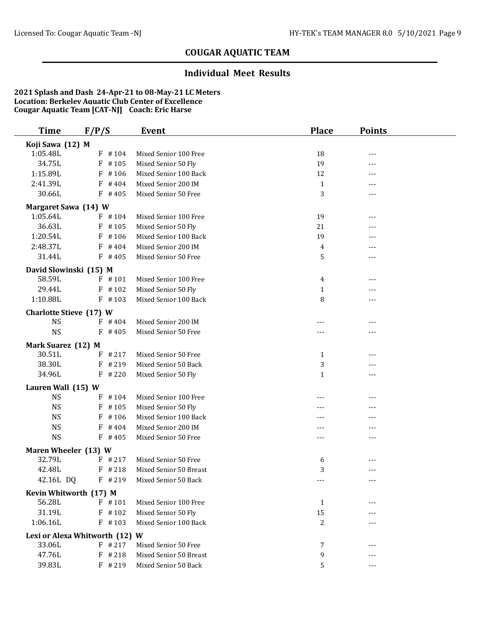#### **Individual Meet Results**

| <b>Time</b>                      | F/P/S                          | Event                  | <b>Place</b>      | <b>Points</b>       |  |
|----------------------------------|--------------------------------|------------------------|-------------------|---------------------|--|
| Koji Sawa (12) M                 |                                |                        |                   |                     |  |
| 1:05.48L                         | $F$ #104                       | Mixed Senior 100 Free  | 18                | $---$               |  |
| 34.75L                           | #105<br>F                      | Mixed Senior 50 Fly    | 19                | ---                 |  |
| 1:15.89L                         | $F$ #106                       | Mixed Senior 100 Back  | 12                | ---                 |  |
| 2:41.39L                         | $F$ #404                       | Mixed Senior 200 IM    | $\mathbf{1}$      | ---                 |  |
| 30.66L                           | $F$ #405                       | Mixed Senior 50 Free   | 3                 | ---                 |  |
| <b>Margaret Sawa (14) W</b>      |                                |                        |                   |                     |  |
| 1:05.64L                         | $F$ #104                       | Mixed Senior 100 Free  | 19                |                     |  |
| 36.63L                           | $F$ #105                       | Mixed Senior 50 Fly    | 21                | ---                 |  |
| 1:20.54L                         | $F$ #106                       | Mixed Senior 100 Back  | 19                |                     |  |
| 2:48.37L                         | $F$ #404                       | Mixed Senior 200 IM    | 4                 | $---$               |  |
| 31.44L                           | $F$ #405                       | Mixed Senior 50 Free   | 5                 | $---$               |  |
|                                  |                                |                        |                   |                     |  |
| David Slowinski (15) M<br>58.59L | $F$ #101                       | Mixed Senior 100 Free  | 4                 | ---                 |  |
| 29.44L                           | $F$ #102                       | Mixed Senior 50 Fly    |                   |                     |  |
| 1:10.88L                         | $F$ #103                       | Mixed Senior 100 Back  | $\mathbf{1}$<br>8 | $---$               |  |
|                                  |                                |                        |                   |                     |  |
| <b>Charlotte Stieve (17) W</b>   |                                |                        |                   |                     |  |
| <b>NS</b>                        | $F$ #404                       | Mixed Senior 200 IM    |                   | ---                 |  |
| <b>NS</b>                        | $F$ #405                       | Mixed Senior 50 Free   |                   | ---                 |  |
| Mark Suarez (12) M               |                                |                        |                   |                     |  |
| 30.51L                           | $F$ # 217                      | Mixed Senior 50 Free   | $\mathbf{1}$      | ---                 |  |
| 38.30L                           | $F$ # 219                      | Mixed Senior 50 Back   | 3                 |                     |  |
| 34.96L                           | $F$ # 220                      | Mixed Senior 50 Fly    | $\mathbf{1}$      | $---$               |  |
| Lauren Wall (15) W               |                                |                        |                   |                     |  |
| <b>NS</b>                        | $F$ #104                       | Mixed Senior 100 Free  |                   |                     |  |
| <b>NS</b>                        | $F$ #105                       | Mixed Senior 50 Fly    |                   | ---                 |  |
| <b>NS</b>                        | $F$ #106                       | Mixed Senior 100 Back  | ---               | $---$               |  |
| <b>NS</b>                        | F<br>#404                      | Mixed Senior 200 IM    | ---               | ---                 |  |
| <b>NS</b>                        | $F$ #405                       | Mixed Senior 50 Free   | ---               | ---                 |  |
| Maren Wheeler (13) W             |                                |                        |                   |                     |  |
| 32.79L                           | $F$ # 217                      | Mixed Senior 50 Free   | 6                 |                     |  |
| 42.48L                           | $F$ # 218                      | Mixed Senior 50 Breast | 3                 | $---$               |  |
| 42.16L DQ                        | $F$ # 219                      | Mixed Senior 50 Back   | ---               | $\qquad \qquad - -$ |  |
| Kevin Whitworth (17) M           |                                |                        |                   |                     |  |
| 56.28L                           | $F$ #101                       | Mixed Senior 100 Free  | $\mathbf{1}$      |                     |  |
| 31.19L                           | $F$ #102                       | Mixed Senior 50 Fly    | 15                |                     |  |
| 1:06.16L                         | $F$ #103                       | Mixed Senior 100 Back  | 2                 |                     |  |
|                                  |                                |                        |                   |                     |  |
|                                  | Lexi or Alexa Whitworth (12) W |                        |                   |                     |  |
| 33.06L                           | $F$ # 217                      | Mixed Senior 50 Free   | 7                 |                     |  |
| 47.76L                           | $F$ # 218                      | Mixed Senior 50 Breast | 9                 | ---                 |  |
| 39.83L                           | F #219                         | Mixed Senior 50 Back   | 5                 | $---$               |  |